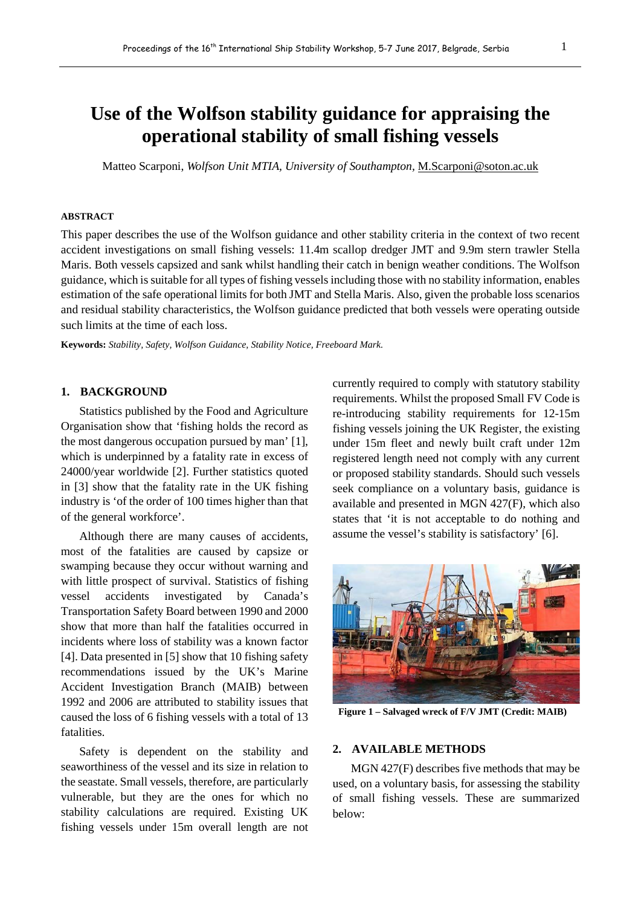# **Use of the Wolfson stability guidance for appraising the operational stability of small fishing vessels**

Matteo Scarponi, *Wolfson Unit MTIA, University of Southampton,* M.Scarponi@soton.ac.uk

#### **ABSTRACT**

This paper describes the use of the Wolfson guidance and other stability criteria in the context of two recent accident investigations on small fishing vessels: 11.4m scallop dredger JMT and 9.9m stern trawler Stella Maris. Both vessels capsized and sank whilst handling their catch in benign weather conditions. The Wolfson guidance, which is suitable for all types of fishing vessels including those with no stability information, enables estimation of the safe operational limits for both JMT and Stella Maris. Also, given the probable loss scenarios and residual stability characteristics, the Wolfson guidance predicted that both vessels were operating outside such limits at the time of each loss.

**Keywords:** *Stability, Safety, Wolfson Guidance, Stability Notice, Freeboard Mark.*

## **1. BACKGROUND**

Statistics published by the Food and Agriculture Organisation show that 'fishing holds the record as the most dangerous occupation pursued by man' [1], which is underpinned by a fatality rate in excess of 24000/year worldwide [2]. Further statistics quoted in [3] show that the fatality rate in the UK fishing industry is 'of the order of 100 times higher than that of the general workforce'.

Although there are many causes of accidents, most of the fatalities are caused by capsize or swamping because they occur without warning and with little prospect of survival. Statistics of fishing vessel accidents investigated by Canada's Transportation Safety Board between 1990 and 2000 show that more than half the fatalities occurred in incidents where loss of stability was a known factor [4]. Data presented in [5] show that 10 fishing safety recommendations issued by the UK's Marine Accident Investigation Branch (MAIB) between 1992 and 2006 are attributed to stability issues that caused the loss of 6 fishing vessels with a total of 13 fatalities.

Safety is dependent on the stability and seaworthiness of the vessel and its size in relation to the seastate. Small vessels, therefore, are particularly vulnerable, but they are the ones for which no stability calculations are required. Existing UK fishing vessels under 15m overall length are not currently required to comply with statutory stability requirements. Whilst the proposed Small FV Code is re-introducing stability requirements for 12-15m fishing vessels joining the UK Register, the existing under 15m fleet and newly built craft under 12m registered length need not comply with any current or proposed stability standards. Should such vessels seek compliance on a voluntary basis, guidance is available and presented in MGN 427(F), which also states that 'it is not acceptable to do nothing and assume the vessel's stability is satisfactory' [6].



**Figure 1 – Salvaged wreck of F/V JMT (Credit: MAIB)**

#### **2. AVAILABLE METHODS**

MGN 427(F) describes five methods that may be used, on a voluntary basis, for assessing the stability of small fishing vessels. These are summarized below: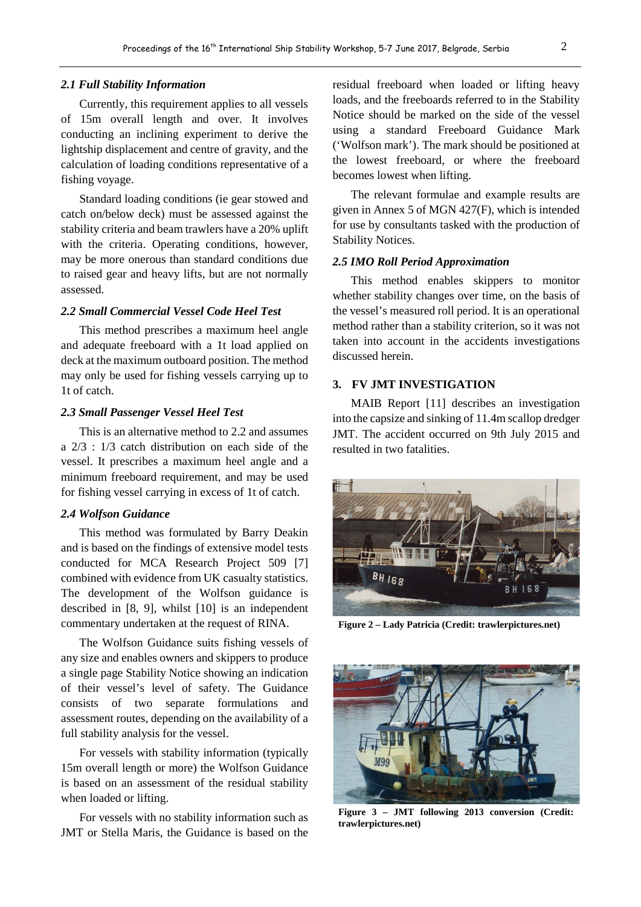#### *2.1 Full Stability Information*

Currently, this requirement applies to all vessels of 15m overall length and over. It involves conducting an inclining experiment to derive the lightship displacement and centre of gravity, and the calculation of loading conditions representative of a fishing voyage.

Standard loading conditions (ie gear stowed and catch on/below deck) must be assessed against the stability criteria and beam trawlers have a 20% uplift with the criteria. Operating conditions, however, may be more onerous than standard conditions due to raised gear and heavy lifts, but are not normally assessed.

## *2.2 Small Commercial Vessel Code Heel Test*

This method prescribes a maximum heel angle and adequate freeboard with a 1t load applied on deck at the maximum outboard position. The method may only be used for fishing vessels carrying up to 1t of catch.

## *2.3 Small Passenger Vessel Heel Test*

This is an alternative method to 2.2 and assumes a 2/3 : 1/3 catch distribution on each side of the vessel. It prescribes a maximum heel angle and a minimum freeboard requirement, and may be used for fishing vessel carrying in excess of 1t of catch.

#### *2.4 Wolfson Guidance*

This method was formulated by Barry Deakin and is based on the findings of extensive model tests conducted for MCA Research Project 509 [7] combined with evidence from UK casualty statistics. The development of the Wolfson guidance is described in [8, 9], whilst [10] is an independent commentary undertaken at the request of RINA.

The Wolfson Guidance suits fishing vessels of any size and enables owners and skippers to produce a single page Stability Notice showing an indication of their vessel's level of safety. The Guidance consists of two separate formulations and assessment routes, depending on the availability of a full stability analysis for the vessel.

For vessels with stability information (typically 15m overall length or more) the Wolfson Guidance is based on an assessment of the residual stability when loaded or lifting.

For vessels with no stability information such as JMT or Stella Maris, the Guidance is based on the

residual freeboard when loaded or lifting heavy loads, and the freeboards referred to in the Stability Notice should be marked on the side of the vessel using a standard Freeboard Guidance Mark ('Wolfson mark'). The mark should be positioned at the lowest freeboard, or where the freeboard becomes lowest when lifting.

The relevant formulae and example results are given in Annex 5 of MGN 427(F), which is intended for use by consultants tasked with the production of Stability Notices.

## *2.5 IMO Roll Period Approximation*

This method enables skippers to monitor whether stability changes over time, on the basis of the vessel's measured roll period. It is an operational method rather than a stability criterion, so it was not taken into account in the accidents investigations discussed herein.

## **3. FV JMT INVESTIGATION**

MAIB Report [11] describes an investigation into the capsize and sinking of 11.4m scallop dredger JMT. The accident occurred on 9th July 2015 and resulted in two fatalities.



**Figure 2 – Lady Patricia (Credit: trawlerpictures.net)**



**Figure 3 – JMT following 2013 conversion (Credit: trawlerpictures.net)**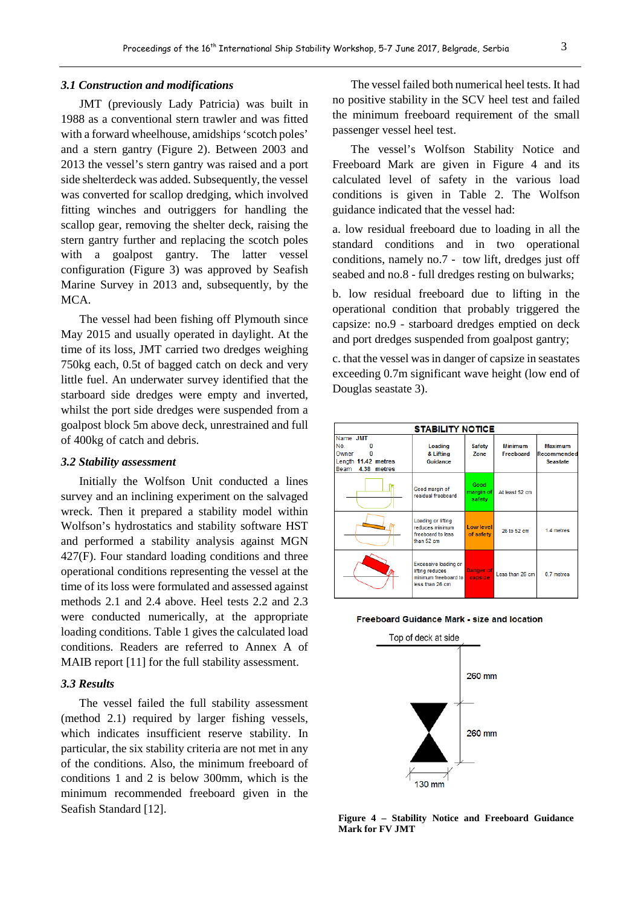#### *3.1 Construction and modifications*

JMT (previously Lady Patricia) was built in 1988 as a conventional stern trawler and was fitted with a forward wheelhouse, amidships 'scotch poles' and a stern gantry (Figure 2). Between 2003 and 2013 the vessel's stern gantry was raised and a port side shelterdeck was added. Subsequently, the vessel was converted for scallop dredging, which involved fitting winches and outriggers for handling the scallop gear, removing the shelter deck, raising the stern gantry further and replacing the scotch poles with a goalpost gantry. The latter vessel configuration (Figure 3) was approved by Seafish Marine Survey in 2013 and, subsequently, by the MCA.

The vessel had been fishing off Plymouth since May 2015 and usually operated in daylight. At the time of its loss, JMT carried two dredges weighing 750kg each, 0.5t of bagged catch on deck and very little fuel. An underwater survey identified that the starboard side dredges were empty and inverted, whilst the port side dredges were suspended from a goalpost block 5m above deck, unrestrained and full of 400kg of catch and debris.

#### *3.2 Stability assessment*

Initially the Wolfson Unit conducted a lines survey and an inclining experiment on the salvaged wreck. Then it prepared a stability model within Wolfson's hydrostatics and stability software HST and performed a stability analysis against MGN 427(F). Four standard loading conditions and three operational conditions representing the vessel at the time of its loss were formulated and assessed against methods 2.1 and 2.4 above. Heel tests 2.2 and 2.3 were conducted numerically, at the appropriate loading conditions. Table 1 gives the calculated load conditions. Readers are referred to Annex A of MAIB report [11] for the full stability assessment.

## *3.3 Results*

The vessel failed the full stability assessment (method 2.1) required by larger fishing vessels, which indicates insufficient reserve stability. In particular, the six stability criteria are not met in any of the conditions. Also, the minimum freeboard of conditions 1 and 2 is below 300mm, which is the minimum recommended freeboard given in the Seafish Standard [12].

The vessel failed both numerical heel tests. It had no positive stability in the SCV heel test and failed the minimum freeboard requirement of the small passenger vessel heel test.

The vessel's Wolfson Stability Notice and Freeboard Mark are given in Figure 4 and its calculated level of safety in the various load conditions is given in Table 2. The Wolfson guidance indicated that the vessel had:

a. low residual freeboard due to loading in all the standard conditions and in two operational conditions, namely no.7 - tow lift, dredges just off seabed and no.8 - full dredges resting on bulwarks;

b. low residual freeboard due to lifting in the operational condition that probably triggered the capsize: no.9 - starboard dredges emptied on deck and port dredges suspended from goalpost gantry;

c. that the vessel was in danger of capsize in seastates exceeding 0.7m significant wave height (low end of Douglas seastate 3).

| <b>STABILITY NOTICE</b>                                                   |                                                                                    |                             |                             |                                           |  |  |  |  |  |
|---------------------------------------------------------------------------|------------------------------------------------------------------------------------|-----------------------------|-----------------------------|-------------------------------------------|--|--|--|--|--|
| Name JMT<br>No.<br>Owner<br>Length 11.42 metres<br>4.38<br>Beam<br>metres | Loading<br>& Lifting<br>Guidance                                                   | <b>Safety</b><br>Zone       | <b>Minimum</b><br>Freeboard | Maximum<br>Recommended<br><b>Seastate</b> |  |  |  |  |  |
|                                                                           | Good margin of<br>residual freeboard                                               | Good<br>margin of<br>safety | At least 52 cm              |                                           |  |  |  |  |  |
|                                                                           | Loading or lifting<br>reduces minimum<br>freeboard to less<br>than 52 cm           | Low level<br>of safety      | 26 to 52 cm                 | 1.4 metres                                |  |  |  |  |  |
|                                                                           | Excessive loading or<br>lifting reduces<br>minimum freeboard to<br>less than 26 cm | <b>Danger of</b><br>capsize | Less than 26 cm             | 0.7 metres                                |  |  |  |  |  |





**Figure 4 – Stability Notice and Freeboard Guidance Mark for FV JMT**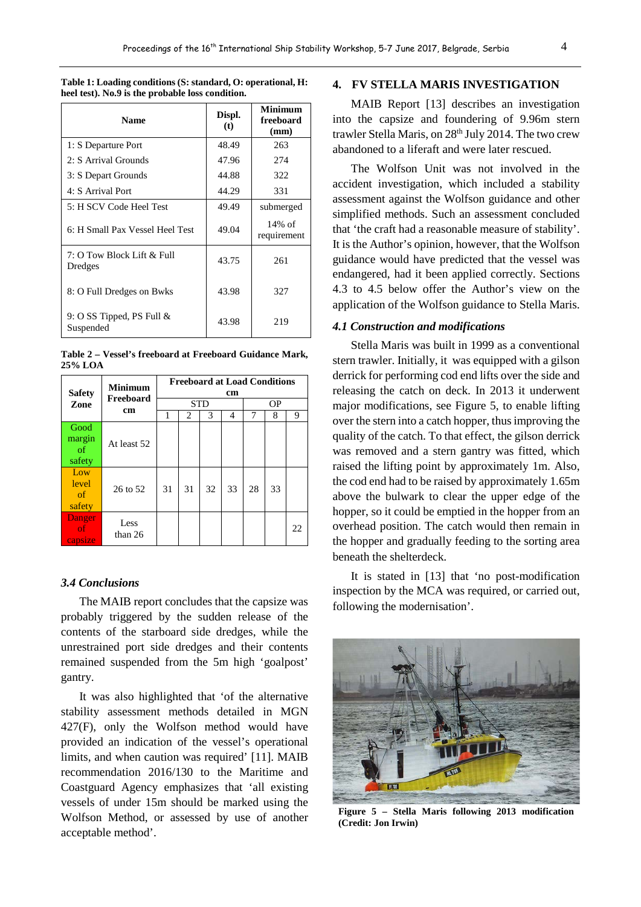| <b>Name</b>                               | Displ.<br>(t) | <b>Minimum</b><br>freeboard<br>(mm) |  |
|-------------------------------------------|---------------|-------------------------------------|--|
| 1: S Departure Port                       | 48.49         | 263                                 |  |
| 2: S Arrival Grounds                      | 47.96         | 274                                 |  |
| 3: S Depart Grounds                       | 44.88<br>322  |                                     |  |
| 4: S Arrival Port                         | 44.29         | 331                                 |  |
| 5: H SCV Code Heel Test                   | 49.49         | submerged                           |  |
| 6: H Small Pax Vessel Heel Test           | 49.04         | $14\%$ of<br>requirement            |  |
| 7: O Tow Block Lift & Full<br>Dredges     | 43.75         | 261                                 |  |
| 8: O Full Dredges on Bwks                 | 43.98         | 327                                 |  |
| 9: O SS Tipped, PS Full $\&$<br>Suspended | 43.98         | 219                                 |  |

**Table 1: Loading conditions (S: standard, O: operational, H: heel test). No.9 is the probable loss condition.**

**Table 2 – Vessel's freeboard at Freeboard Guidance Mark, 25% LOA**

| <b>Safety</b>                      | <b>Minimum</b><br>Freeboard<br>cm | <b>Freeboard at Load Conditions</b><br>cm |    |    |    |    |    |    |
|------------------------------------|-----------------------------------|-------------------------------------------|----|----|----|----|----|----|
| Zone                               |                                   | <b>STD</b>                                |    |    |    | OΡ |    |    |
|                                    |                                   | 1                                         | 2  | 3  | 4  | 7  | 8  | 9  |
| Good<br>margin<br>of<br>safety     | At least 52                       |                                           |    |    |    |    |    |    |
| Low<br>level<br>$\sigma$<br>safety | 26 to 52                          | 31                                        | 31 | 32 | 33 | 28 | 33 |    |
| Danger<br>of.<br>capsize           | Less<br>than 26                   |                                           |    |    |    |    |    | 22 |

## *3.4 Conclusions*

The MAIB report concludes that the capsize was probably triggered by the sudden release of the contents of the starboard side dredges, while the unrestrained port side dredges and their contents remained suspended from the 5m high 'goalpost' gantry.

It was also highlighted that 'of the alternative stability assessment methods detailed in MGN 427(F), only the Wolfson method would have provided an indication of the vessel's operational limits, and when caution was required' [11]. MAIB recommendation 2016/130 to the Maritime and Coastguard Agency emphasizes that 'all existing vessels of under 15m should be marked using the Wolfson Method, or assessed by use of another acceptable method'.

## **4. FV STELLA MARIS INVESTIGATION**

MAIB Report [13] describes an investigation into the capsize and foundering of 9.96m stern trawler Stella Maris, on 28<sup>th</sup> July 2014. The two crew abandoned to a liferaft and were later rescued.

The Wolfson Unit was not involved in the accident investigation, which included a stability assessment against the Wolfson guidance and other simplified methods. Such an assessment concluded that 'the craft had a reasonable measure of stability'. It is the Author's opinion, however, that the Wolfson guidance would have predicted that the vessel was endangered, had it been applied correctly. Sections 4.3 to 4.5 below offer the Author's view on the application of the Wolfson guidance to Stella Maris.

## *4.1 Construction and modifications*

Stella Maris was built in 1999 as a conventional stern trawler. Initially, it was equipped with a gilson derrick for performing cod end lifts over the side and releasing the catch on deck. In 2013 it underwent major modifications, see Figure 5, to enable lifting over the stern into a catch hopper, thus improving the quality of the catch. To that effect, the gilson derrick was removed and a stern gantry was fitted, which raised the lifting point by approximately 1m. Also, the cod end had to be raised by approximately 1.65m above the bulwark to clear the upper edge of the hopper, so it could be emptied in the hopper from an overhead position. The catch would then remain in the hopper and gradually feeding to the sorting area beneath the shelterdeck.

It is stated in [13] that 'no post-modification inspection by the MCA was required, or carried out, following the modernisation'.



**Figure 5 – Stella Maris following 2013 modification (Credit: Jon Irwin)**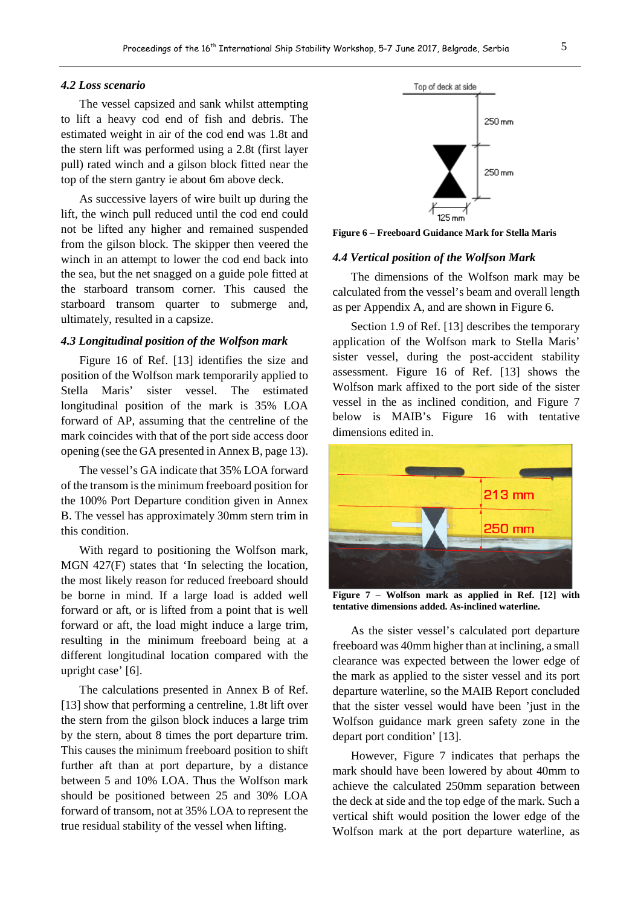#### *4.2 Loss scenario*

The vessel capsized and sank whilst attempting to lift a heavy cod end of fish and debris. The estimated weight in air of the cod end was 1.8t and the stern lift was performed using a 2.8t (first layer pull) rated winch and a gilson block fitted near the top of the stern gantry ie about 6m above deck.

As successive layers of wire built up during the lift, the winch pull reduced until the cod end could not be lifted any higher and remained suspended from the gilson block. The skipper then veered the winch in an attempt to lower the cod end back into the sea, but the net snagged on a guide pole fitted at the starboard transom corner. This caused the starboard transom quarter to submerge and, ultimately, resulted in a capsize.

#### *4.3 Longitudinal position of the Wolfson mark*

Figure 16 of Ref. [13] identifies the size and position of the Wolfson mark temporarily applied to Stella Maris' sister vessel. The estimated longitudinal position of the mark is 35% LOA forward of AP, assuming that the centreline of the mark coincides with that of the port side access door opening (see the GA presented in Annex B, page 13).

The vessel's GA indicate that 35% LOA forward of the transom is the minimum freeboard position for the 100% Port Departure condition given in Annex B. The vessel has approximately 30mm stern trim in this condition.

With regard to positioning the Wolfson mark, MGN 427(F) states that 'In selecting the location, the most likely reason for reduced freeboard should be borne in mind. If a large load is added well forward or aft, or is lifted from a point that is well forward or aft, the load might induce a large trim, resulting in the minimum freeboard being at a different longitudinal location compared with the upright case' [6].

The calculations presented in Annex B of Ref. [13] show that performing a centreline, 1.8t lift over the stern from the gilson block induces a large trim by the stern, about 8 times the port departure trim. This causes the minimum freeboard position to shift further aft than at port departure, by a distance between 5 and 10% LOA. Thus the Wolfson mark should be positioned between 25 and 30% LOA forward of transom, not at 35% LOA to represent the true residual stability of the vessel when lifting.

Top of deck at side 250 mm  $250 \,\mathrm{mm}$ 

**Figure 6 – Freeboard Guidance Mark for Stella Maris**

#### *4.4 Vertical position of the Wolfson Mark*

The dimensions of the Wolfson mark may be calculated from the vessel's beam and overall length as per Appendix A, and are shown in Figure 6.

Section 1.9 of Ref. [13] describes the temporary application of the Wolfson mark to Stella Maris' sister vessel, during the post-accident stability assessment. Figure 16 of Ref. [13] shows the Wolfson mark affixed to the port side of the sister vessel in the as inclined condition, and Figure 7 below is MAIB's Figure 16 with tentative dimensions edited in.



**Figure 7 – Wolfson mark as applied in Ref. [12] with tentative dimensions added. As-inclined waterline.**

As the sister vessel's calculated port departure freeboard was 40mm higher than at inclining, a small clearance was expected between the lower edge of the mark as applied to the sister vessel and its port departure waterline, so the MAIB Report concluded that the sister vessel would have been 'just in the Wolfson guidance mark green safety zone in the depart port condition' [13].

However, Figure 7 indicates that perhaps the mark should have been lowered by about 40mm to achieve the calculated 250mm separation between the deck at side and the top edge of the mark. Such a vertical shift would position the lower edge of the Wolfson mark at the port departure waterline, as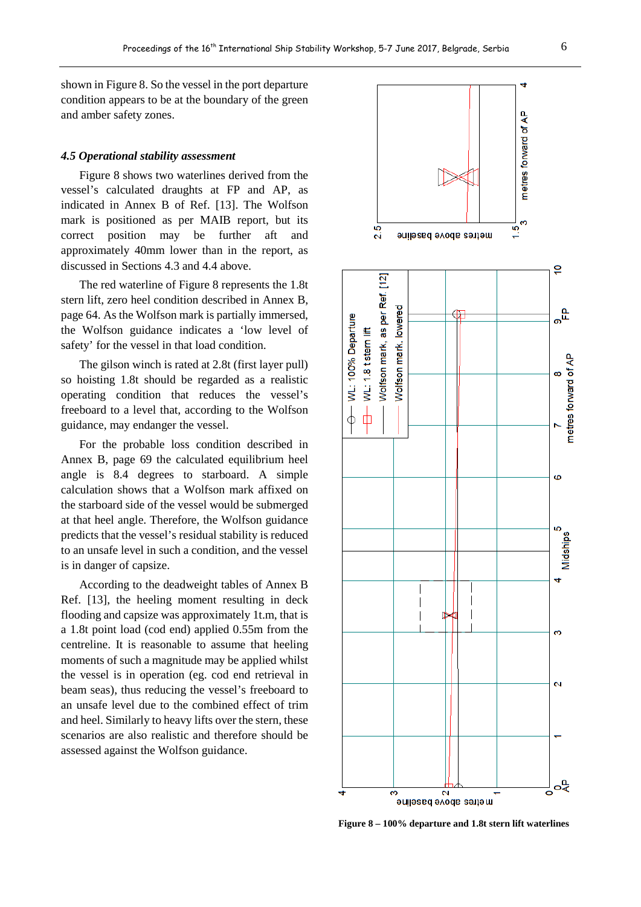shown in Figure 8. So the vessel in the port departure condition appears to be at the boundary of the green and amber safety zones.

#### *4.5 Operational stability assessment*

Figure 8 shows two waterlines derived from the vessel's calculated draughts at FP and AP, as indicated in Annex B of Ref. [13]. The Wolfson mark is positioned as per MAIB report, but its correct position may be further aft and approximately 40mm lower than in the report, as discussed in Sections 4.3 and 4.4 above.

The red waterline of Figure 8 represents the 1.8t stern lift, zero heel condition described in Annex B, page 64. As the Wolfson mark is partially immersed, the Wolfson guidance indicates a 'low level of safety' for the vessel in that load condition.

The gilson winch is rated at 2.8t (first layer pull) so hoisting 1.8t should be regarded as a realistic operating condition that reduces the vessel's freeboard to a level that, according to the Wolfson guidance, may endanger the vessel.

For the probable loss condition described in Annex B, page 69 the calculated equilibrium heel angle is 8.4 degrees to starboard. A simple calculation shows that a Wolfson mark affixed on the starboard side of the vessel would be submerged at that heel angle. Therefore, the Wolfson guidance predicts that the vessel's residual stability is reduced to an unsafe level in such a condition, and the vessel is in danger of capsize.

According to the deadweight tables of Annex B Ref. [13], the heeling moment resulting in deck flooding and capsize was approximately 1t.m, that is a 1.8t point load (cod end) applied 0.55m from the centreline. It is reasonable to assume that heeling moments of such a magnitude may be applied whilst the vessel is in operation (eg. cod end retrieval in beam seas), thus reducing the vessel's freeboard to an unsafe level due to the combined effect of trim and heel. Similarly to heavy lifts over the stern, these scenarios are also realistic and therefore should be assessed against the Wolfson guidance.



**Figure 8 – 100% departure and 1.8t stern lift waterlines**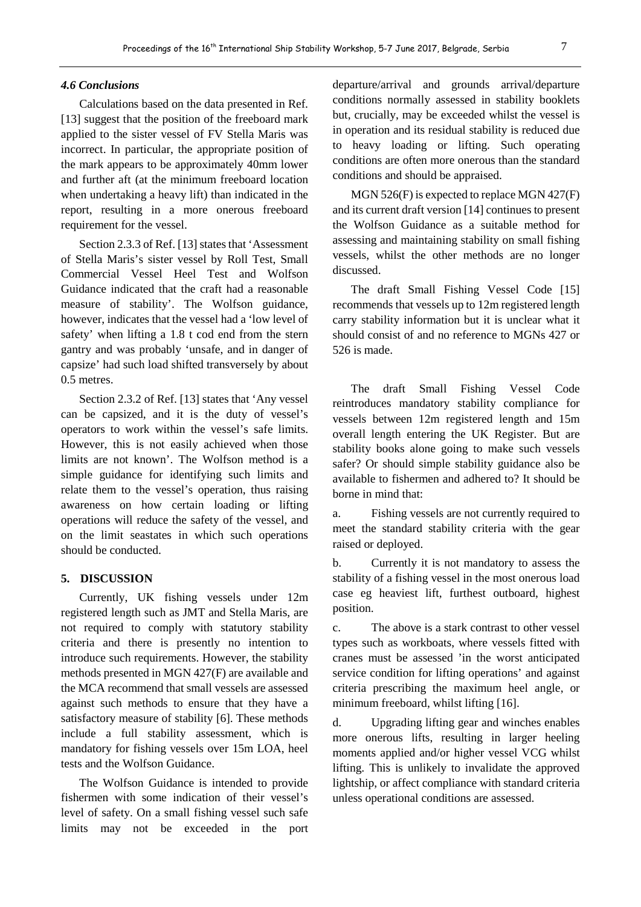#### *4.6 Conclusions*

Calculations based on the data presented in Ref. [13] suggest that the position of the freeboard mark applied to the sister vessel of FV Stella Maris was incorrect. In particular, the appropriate position of the mark appears to be approximately 40mm lower and further aft (at the minimum freeboard location when undertaking a heavy lift) than indicated in the report, resulting in a more onerous freeboard requirement for the vessel.

Section 2.3.3 of Ref. [13] states that 'Assessment of Stella Maris's sister vessel by Roll Test, Small Commercial Vessel Heel Test and Wolfson Guidance indicated that the craft had a reasonable measure of stability'. The Wolfson guidance, however, indicates that the vessel had a 'low level of safety' when lifting a 1.8 t cod end from the stern gantry and was probably 'unsafe, and in danger of capsize' had such load shifted transversely by about 0.5 metres.

Section 2.3.2 of Ref. [13] states that 'Any vessel can be capsized, and it is the duty of vessel's operators to work within the vessel's safe limits. However, this is not easily achieved when those limits are not known'. The Wolfson method is a simple guidance for identifying such limits and relate them to the vessel's operation, thus raising awareness on how certain loading or lifting operations will reduce the safety of the vessel, and on the limit seastates in which such operations should be conducted.

## **5. DISCUSSION**

Currently, UK fishing vessels under 12m registered length such as JMT and Stella Maris, are not required to comply with statutory stability criteria and there is presently no intention to introduce such requirements. However, the stability methods presented in MGN 427(F) are available and the MCA recommend that small vessels are assessed against such methods to ensure that they have a satisfactory measure of stability [6]. These methods include a full stability assessment, which is mandatory for fishing vessels over 15m LOA, heel tests and the Wolfson Guidance.

The Wolfson Guidance is intended to provide fishermen with some indication of their vessel's level of safety. On a small fishing vessel such safe limits may not be exceeded in the port departure/arrival and grounds arrival/departure conditions normally assessed in stability booklets but, crucially, may be exceeded whilst the vessel is in operation and its residual stability is reduced due to heavy loading or lifting. Such operating conditions are often more onerous than the standard conditions and should be appraised.

MGN 526(F) is expected to replace MGN 427(F) and its current draft version [14] continues to present the Wolfson Guidance as a suitable method for assessing and maintaining stability on small fishing vessels, whilst the other methods are no longer discussed.

The draft Small Fishing Vessel Code [15] recommends that vessels up to 12m registered length carry stability information but it is unclear what it should consist of and no reference to MGNs 427 or 526 is made.

The draft Small Fishing Vessel Code reintroduces mandatory stability compliance for vessels between 12m registered length and 15m overall length entering the UK Register. But are stability books alone going to make such vessels safer? Or should simple stability guidance also be available to fishermen and adhered to? It should be borne in mind that:

a. Fishing vessels are not currently required to meet the standard stability criteria with the gear raised or deployed.

b. Currently it is not mandatory to assess the stability of a fishing vessel in the most onerous load case eg heaviest lift, furthest outboard, highest position.

c. The above is a stark contrast to other vessel types such as workboats, where vessels fitted with cranes must be assessed 'in the worst anticipated service condition for lifting operations' and against criteria prescribing the maximum heel angle, or minimum freeboard, whilst lifting [16].

d. Upgrading lifting gear and winches enables more onerous lifts, resulting in larger heeling moments applied and/or higher vessel VCG whilst lifting. This is unlikely to invalidate the approved lightship, or affect compliance with standard criteria unless operational conditions are assessed.